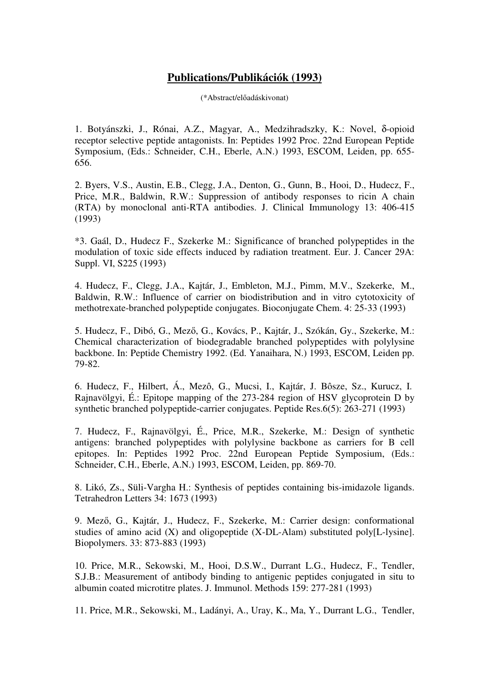## **Publications/Publikációk (1993)**

(\*Abstract/előadáskivonat)

1. Botyánszki, J., Rónai, A.Z., Magyar, A., Medzihradszky, K.: Novel, δ-opioid receptor selective peptide antagonists. In: Peptides 1992 Proc. 22nd European Peptide Symposium, (Eds.: Schneider, C.H., Eberle, A.N.) 1993, ESCOM, Leiden, pp. 655- 656.

2. Byers, V.S., Austin, E.B., Clegg, J.A., Denton, G., Gunn, B., Hooi, D., Hudecz, F., Price, M.R., Baldwin, R.W.: Suppression of antibody responses to ricin A chain (RTA) by monoclonal anti-RTA antibodies. J. Clinical Immunology 13: 406-415 (1993)

\*3. Gaál, D., Hudecz F., Szekerke M.: Significance of branched polypeptides in the modulation of toxic side effects induced by radiation treatment. Eur. J. Cancer 29A: Suppl. VI, S225 (1993)

4. Hudecz, F., Clegg, J.A., Kajtár, J., Embleton, M.J., Pimm, M.V., Szekerke, M., Baldwin, R.W.: Influence of carrier on biodistribution and in vitro cytotoxicity of methotrexate-branched polypeptide conjugates. Bioconjugate Chem. 4: 25-33 (1993)

5. Hudecz, F., Dibó, G., Mező, G., Kovács, P., Kajtár, J., Szókán, Gy., Szekerke, M.: Chemical characterization of biodegradable branched polypeptides with polylysine backbone. In: Peptide Chemistry 1992. (Ed. Yanaihara, N.) 1993, ESCOM, Leiden pp. 79-82.

6. Hudecz, F., Hilbert, Á., Mezô, G., Mucsi, I., Kajtár, J. Bôsze, Sz., Kurucz, I. Rajnavölgyi, É.: Epitope mapping of the 273-284 region of HSV glycoprotein D by synthetic branched polypeptide-carrier conjugates. Peptide Res.6(5): 263-271 (1993)

7. Hudecz, F., Rajnavölgyi, É., Price, M.R., Szekerke, M.: Design of synthetic antigens: branched polypeptides with polylysine backbone as carriers for B cell epitopes. In: Peptides 1992 Proc. 22nd European Peptide Symposium, (Eds.: Schneider, C.H., Eberle, A.N.) 1993, ESCOM, Leiden, pp. 869-70.

8. Likó, Zs., Süli-Vargha H.: Synthesis of peptides containing bis-imidazole ligands. Tetrahedron Letters 34: 1673 (1993)

9. Mező, G., Kajtár, J., Hudecz, F., Szekerke, M.: Carrier design: conformational studies of amino acid (X) and oligopeptide (X-DL-Alam) substituted poly[L-lysine]. Biopolymers. 33: 873-883 (1993)

10. Price, M.R., Sekowski, M., Hooi, D.S.W., Durrant L.G., Hudecz, F., Tendler, S.J.B.: Measurement of antibody binding to antigenic peptides conjugated in situ to albumin coated microtitre plates. J. Immunol. Methods 159: 277-281 (1993)

11. Price, M.R., Sekowski, M., Ladányi, A., Uray, K., Ma, Y., Durrant L.G., Tendler,